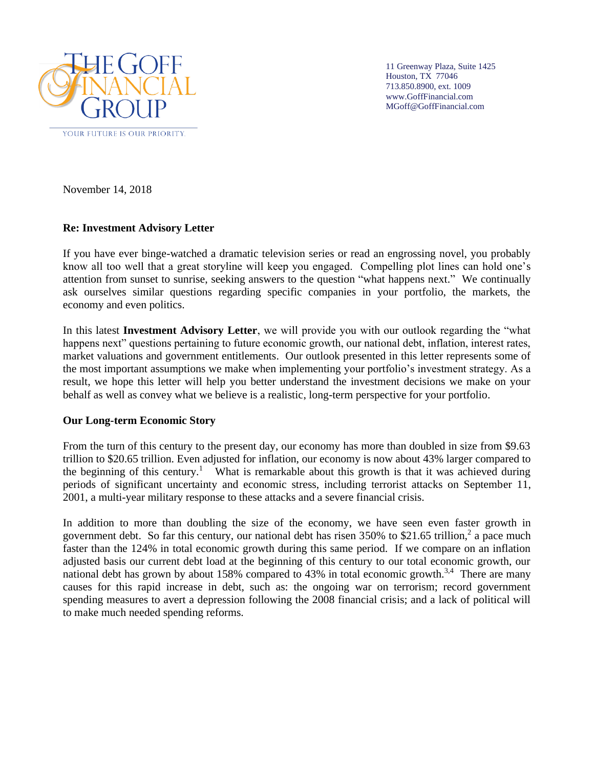

11 Greenway Plaza, Suite 1425 Houston, TX 77046 713.850.8900, ext. 1009 www.GoffFinancial.com MGoff@GoffFinancial.com

November 14, 2018

## **Re: Investment Advisory Letter**

If you have ever binge-watched a dramatic television series or read an engrossing novel, you probably know all too well that a great storyline will keep you engaged. Compelling plot lines can hold one's attention from sunset to sunrise, seeking answers to the question "what happens next." We continually ask ourselves similar questions regarding specific companies in your portfolio, the markets, the economy and even politics.

In this latest **Investment Advisory Letter**, we will provide you with our outlook regarding the "what happens next" questions pertaining to future economic growth, our national debt, inflation, interest rates, market valuations and government entitlements. Our outlook presented in this letter represents some of the most important assumptions we make when implementing your portfolio's investment strategy. As a result, we hope this letter will help you better understand the investment decisions we make on your behalf as well as convey what we believe is a realistic, long-term perspective for your portfolio.

#### **Our Long-term Economic Story**

From the turn of this century to the present day, our economy has more than doubled in size from \$9.63 trillion to \$20.65 trillion. Even adjusted for inflation, our economy is now about 43% larger compared to the beginning of this century.<sup>1</sup> What is remarkable about this growth is that it was achieved during periods of significant uncertainty and economic stress, including terrorist attacks on September 11, 2001, a multi-year military response to these attacks and a severe financial crisis.

In addition to more than doubling the size of the economy, we have seen even faster growth in government debt. So far this century, our national debt has risen  $350\%$  to \$21.65 trillion,<sup>2</sup> a pace much faster than the 124% in total economic growth during this same period. If we compare on an inflation adjusted basis our current debt load at the beginning of this century to our total economic growth, our national debt has grown by about 158% compared to 43% in total economic growth.<sup>3,4</sup> There are many causes for this rapid increase in debt, such as: the ongoing war on terrorism; record government spending measures to avert a depression following the 2008 financial crisis; and a lack of political will to make much needed spending reforms.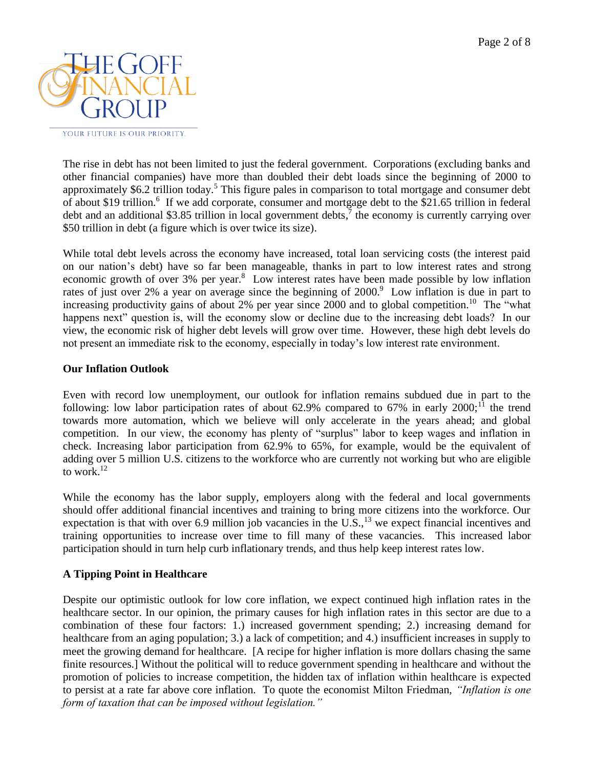

The rise in debt has not been limited to just the federal government. Corporations (excluding banks and other financial companies) have more than doubled their debt loads since the beginning of 2000 to approximately \$6.2 trillion today.<sup>5</sup> This figure pales in comparison to total mortgage and consumer debt of about \$19 trillion.<sup>6</sup> If we add corporate, consumer and mortgage debt to the \$21.65 trillion in federal debt and an additional \$3.85 trillion in local government debts,<sup>7</sup> the economy is currently carrying over \$50 trillion in debt (a figure which is over twice its size).

While total debt levels across the economy have increased, total loan servicing costs (the interest paid on our nation's debt) have so far been manageable, thanks in part to low interest rates and strong economic growth of over 3% per year.<sup>8</sup> Low interest rates have been made possible by low inflation rates of just over 2% a year on average since the beginning of 2000.<sup>9</sup> Low inflation is due in part to increasing productivity gains of about 2% per year since 2000 and to global competition.<sup>10</sup> The "what happens next" question is, will the economy slow or decline due to the increasing debt loads? In our view, the economic risk of higher debt levels will grow over time. However, these high debt levels do not present an immediate risk to the economy, especially in today's low interest rate environment.

## **Our Inflation Outlook**

Even with record low unemployment, our outlook for inflation remains subdued due in part to the following: low labor participation rates of about 62.9% compared to 67% in early  $2000$ ;<sup>11</sup> the trend towards more automation, which we believe will only accelerate in the years ahead; and global competition. In our view, the economy has plenty of "surplus" labor to keep wages and inflation in check. Increasing labor participation from 62.9% to 65%, for example, would be the equivalent of adding over 5 million U.S. citizens to the workforce who are currently not working but who are eligible to work. $^{12}$ 

While the economy has the labor supply, employers along with the federal and local governments should offer additional financial incentives and training to bring more citizens into the workforce. Our expectation is that with over 6.9 million job vacancies in the U.S.,  $^{13}$  we expect financial incentives and training opportunities to increase over time to fill many of these vacancies. This increased labor participation should in turn help curb inflationary trends, and thus help keep interest rates low.

# **A Tipping Point in Healthcare**

Despite our optimistic outlook for low core inflation, we expect continued high inflation rates in the healthcare sector. In our opinion, the primary causes for high inflation rates in this sector are due to a combination of these four factors: 1.) increased government spending; 2.) increasing demand for healthcare from an aging population; 3.) a lack of competition; and 4.) insufficient increases in supply to meet the growing demand for healthcare. [A recipe for higher inflation is more dollars chasing the same finite resources.] Without the political will to reduce government spending in healthcare and without the promotion of policies to increase competition, the hidden tax of inflation within healthcare is expected to persist at a rate far above core inflation. To quote the economist Milton Friedman, *"Inflation is one form of taxation that can be imposed without legislation."*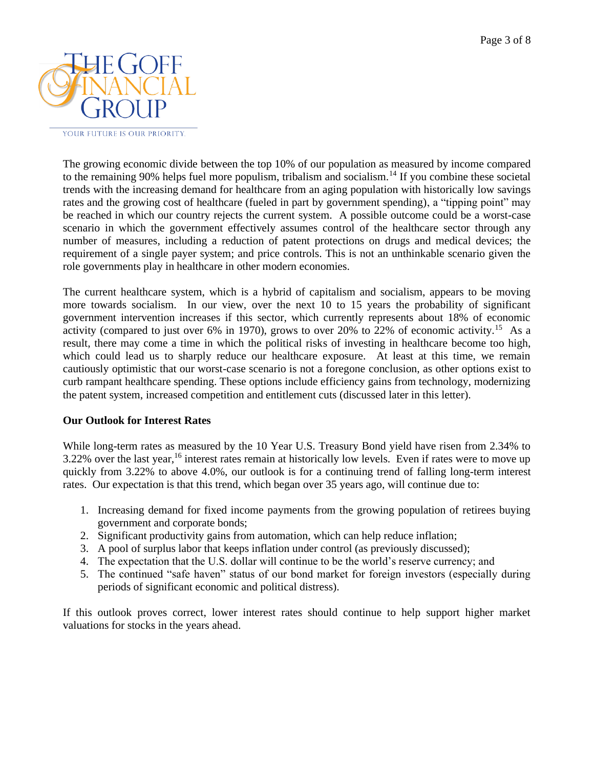

The growing economic divide between the top 10% of our population as measured by income compared to the remaining 90% helps fuel more populism, tribalism and socialism.<sup>14</sup> If you combine these societal trends with the increasing demand for healthcare from an aging population with historically low savings rates and the growing cost of healthcare (fueled in part by government spending), a "tipping point" may be reached in which our country rejects the current system. A possible outcome could be a worst-case scenario in which the government effectively assumes control of the healthcare sector through any number of measures, including a reduction of patent protections on drugs and medical devices; the requirement of a single payer system; and price controls. This is not an unthinkable scenario given the role governments play in healthcare in other modern economies.

The current healthcare system, which is a hybrid of capitalism and socialism, appears to be moving more towards socialism. In our view, over the next 10 to 15 years the probability of significant government intervention increases if this sector, which currently represents about 18% of economic activity (compared to just over 6% in 1970), grows to over 20% to 22% of economic activity.<sup>15</sup> As a result, there may come a time in which the political risks of investing in healthcare become too high, which could lead us to sharply reduce our healthcare exposure. At least at this time, we remain cautiously optimistic that our worst-case scenario is not a foregone conclusion, as other options exist to curb rampant healthcare spending. These options include efficiency gains from technology, modernizing the patent system, increased competition and entitlement cuts (discussed later in this letter).

#### **Our Outlook for Interest Rates**

While long-term rates as measured by the 10 Year U.S. Treasury Bond yield have risen from 2.34% to  $3.22\%$  over the last year,<sup>16</sup> interest rates remain at historically low levels. Even if rates were to move up quickly from 3.22% to above 4.0%, our outlook is for a continuing trend of falling long-term interest rates. Our expectation is that this trend, which began over 35 years ago, will continue due to:

- 1. Increasing demand for fixed income payments from the growing population of retirees buying government and corporate bonds;
- 2. Significant productivity gains from automation, which can help reduce inflation;
- 3. A pool of surplus labor that keeps inflation under control (as previously discussed);
- 4. The expectation that the U.S. dollar will continue to be the world's reserve currency; and
- 5. The continued "safe haven" status of our bond market for foreign investors (especially during periods of significant economic and political distress).

If this outlook proves correct, lower interest rates should continue to help support higher market valuations for stocks in the years ahead.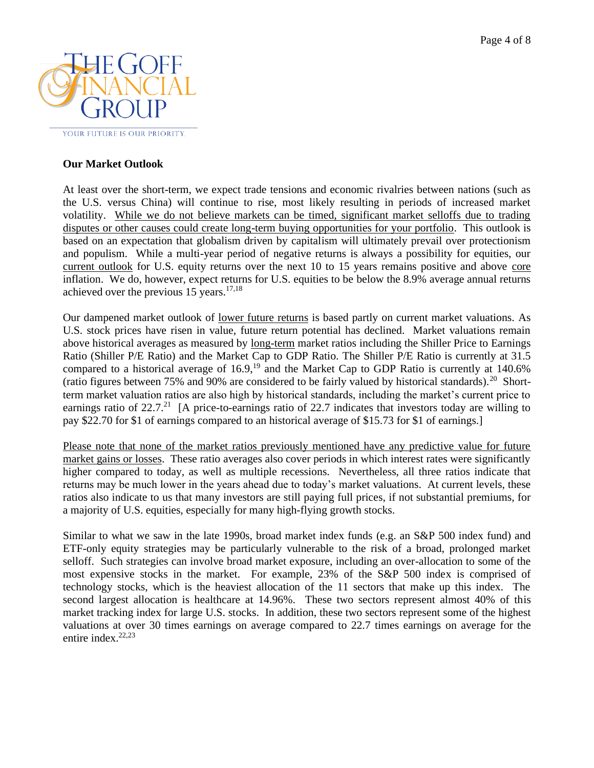

### **Our Market Outlook**

At least over the short-term, we expect trade tensions and economic rivalries between nations (such as the U.S. versus China) will continue to rise, most likely resulting in periods of increased market volatility. While we do not believe markets can be timed, significant market selloffs due to trading disputes or other causes could create long-term buying opportunities for your portfolio. This outlook is based on an expectation that globalism driven by capitalism will ultimately prevail over protectionism and populism. While a multi-year period of negative returns is always a possibility for equities, our current outlook for U.S. equity returns over the next 10 to 15 years remains positive and above core inflation. We do, however, expect returns for U.S. equities to be below the 8.9% average annual returns achieved over the previous 15 years.<sup>17,18</sup>

Our dampened market outlook of lower future returns is based partly on current market valuations. As U.S. stock prices have risen in value, future return potential has declined. Market valuations remain above historical averages as measured by <u>long-term</u> market ratios including the Shiller Price to Earnings Ratio (Shiller P/E Ratio) and the Market Cap to GDP Ratio. The Shiller P/E Ratio is currently at 31.5 compared to a historical average of  $16.9$ ,<sup>19</sup> and the Market Cap to GDP Ratio is currently at  $140.6\%$ (ratio figures between 75% and 90% are considered to be fairly valued by historical standards).<sup>20</sup> Shortterm market valuation ratios are also high by historical standards, including the market's current price to earnings ratio of  $22.7<sup>21</sup>$  [A price-to-earnings ratio of 22.7 indicates that investors today are willing to pay \$22.70 for \$1 of earnings compared to an historical average of \$15.73 for \$1 of earnings.]

Please note that none of the market ratios previously mentioned have any predictive value for future market gains or losses. These ratio averages also cover periods in which interest rates were significantly higher compared to today, as well as multiple recessions. Nevertheless, all three ratios indicate that returns may be much lower in the years ahead due to today's market valuations. At current levels, these ratios also indicate to us that many investors are still paying full prices, if not substantial premiums, for a majority of U.S. equities, especially for many high-flying growth stocks.

Similar to what we saw in the late 1990s, broad market index funds (e.g. an S&P 500 index fund) and ETF-only equity strategies may be particularly vulnerable to the risk of a broad, prolonged market selloff. Such strategies can involve broad market exposure, including an over-allocation to some of the most expensive stocks in the market. For example, 23% of the S&P 500 index is comprised of technology stocks, which is the heaviest allocation of the 11 sectors that make up this index. The second largest allocation is healthcare at 14.96%. These two sectors represent almost 40% of this market tracking index for large U.S. stocks. In addition, these two sectors represent some of the highest valuations at over 30 times earnings on average compared to 22.7 times earnings on average for the entire index.<sup>22,23</sup>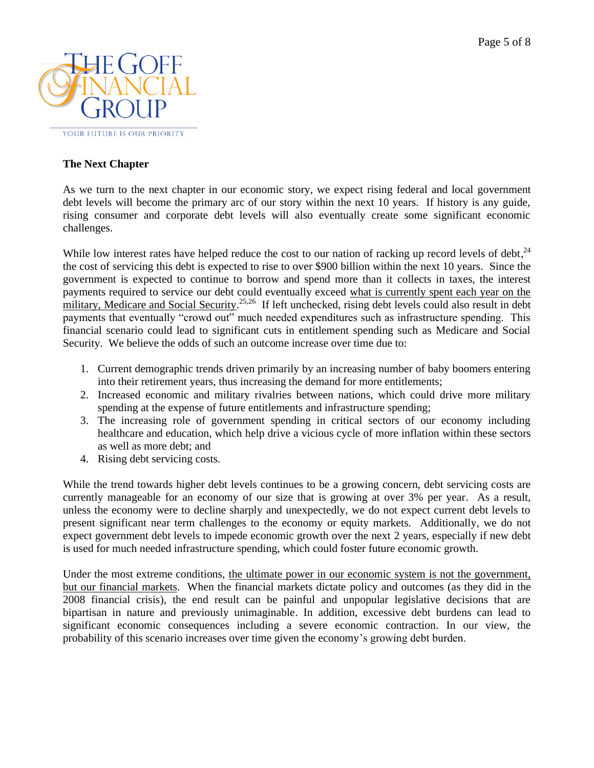

## **The Next Chapter**

As we turn to the next chapter in our economic story, we expect rising federal and local government debt levels will become the primary arc of our story within the next 10 years. If history is any guide, rising consumer and corporate debt levels will also eventually create some significant economic challenges.

While low interest rates have helped reduce the cost to our nation of racking up record levels of debt,<sup>24</sup> the cost of servicing this debt is expected to rise to over \$900 billion within the next 10 years. Since the government is expected to continue to borrow and spend more than it collects in taxes, the interest payments required to service our debt could eventually exceed what is currently spent each year on the military, Medicare and Social Security.<sup>25,26</sup> If left unchecked, rising debt levels could also result in debt payments that eventually "crowd out" much needed expenditures such as infrastructure spending. This financial scenario could lead to significant cuts in entitlement spending such as Medicare and Social Security. We believe the odds of such an outcome increase over time due to:

- 1. Current demographic trends driven primarily by an increasing number of baby boomers entering into their retirement years, thus increasing the demand for more entitlements;
- 2. Increased economic and military rivalries between nations, which could drive more military spending at the expense of future entitlements and infrastructure spending;
- 3. The increasing role of government spending in critical sectors of our economy including healthcare and education, which help drive a vicious cycle of more inflation within these sectors as well as more debt; and
- 4. Rising debt servicing costs.

While the trend towards higher debt levels continues to be a growing concern, debt servicing costs are currently manageable for an economy of our size that is growing at over 3% per year. As a result, unless the economy were to decline sharply and unexpectedly, we do not expect current debt levels to present significant near term challenges to the economy or equity markets. Additionally, we do not expect government debt levels to impede economic growth over the next 2 years, especially if new debt is used for much needed infrastructure spending, which could foster future economic growth.

Under the most extreme conditions, the ultimate power in our economic system is not the government, but our financial markets. When the financial markets dictate policy and outcomes (as they did in the 2008 financial crisis), the end result can be painful and unpopular legislative decisions that are bipartisan in nature and previously unimaginable. In addition, excessive debt burdens can lead to significant economic consequences including a severe economic contraction. In our view, the probability of this scenario increases over time given the economy's growing debt burden.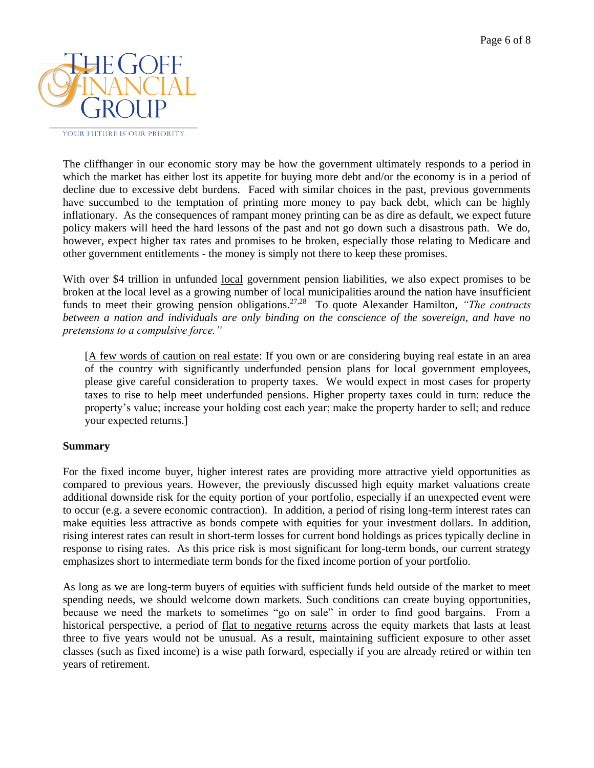

The cliffhanger in our economic story may be how the government ultimately responds to a period in which the market has either lost its appetite for buying more debt and/or the economy is in a period of decline due to excessive debt burdens. Faced with similar choices in the past, previous governments have succumbed to the temptation of printing more money to pay back debt, which can be highly inflationary. As the consequences of rampant money printing can be as dire as default, we expect future policy makers will heed the hard lessons of the past and not go down such a disastrous path. We do, however, expect higher tax rates and promises to be broken, especially those relating to Medicare and other government entitlements - the money is simply not there to keep these promises.

With over \$4 trillion in unfunded <u>local</u> government pension liabilities, we also expect promises to be broken at the local level as a growing number of local municipalities around the nation have insufficient funds to meet their growing pension obligations.<sup>27,28</sup> To quote Alexander Hamilton, "The contracts" *between a nation and individuals are only binding on the conscience of the sovereign, and have no pretensions to a compulsive force."*

[A few words of caution on real estate: If you own or are considering buying real estate in an area of the country with significantly underfunded pension plans for local government employees, please give careful consideration to property taxes. We would expect in most cases for property taxes to rise to help meet underfunded pensions. Higher property taxes could in turn: reduce the property's value; increase your holding cost each year; make the property harder to sell; and reduce your expected returns.]

#### **Summary**

For the fixed income buyer, higher interest rates are providing more attractive yield opportunities as compared to previous years. However, the previously discussed high equity market valuations create additional downside risk for the equity portion of your portfolio, especially if an unexpected event were to occur (e.g. a severe economic contraction). In addition, a period of rising long-term interest rates can make equities less attractive as bonds compete with equities for your investment dollars. In addition, rising interest rates can result in short-term losses for current bond holdings as prices typically decline in response to rising rates. As this price risk is most significant for long-term bonds, our current strategy emphasizes short to intermediate term bonds for the fixed income portion of your portfolio.

As long as we are long-term buyers of equities with sufficient funds held outside of the market to meet spending needs, we should welcome down markets. Such conditions can create buying opportunities, because we need the markets to sometimes "go on sale" in order to find good bargains. From a historical perspective, a period of flat to negative returns across the equity markets that lasts at least three to five years would not be unusual. As a result, maintaining sufficient exposure to other asset classes (such as fixed income) is a wise path forward, especially if you are already retired or within ten years of retirement.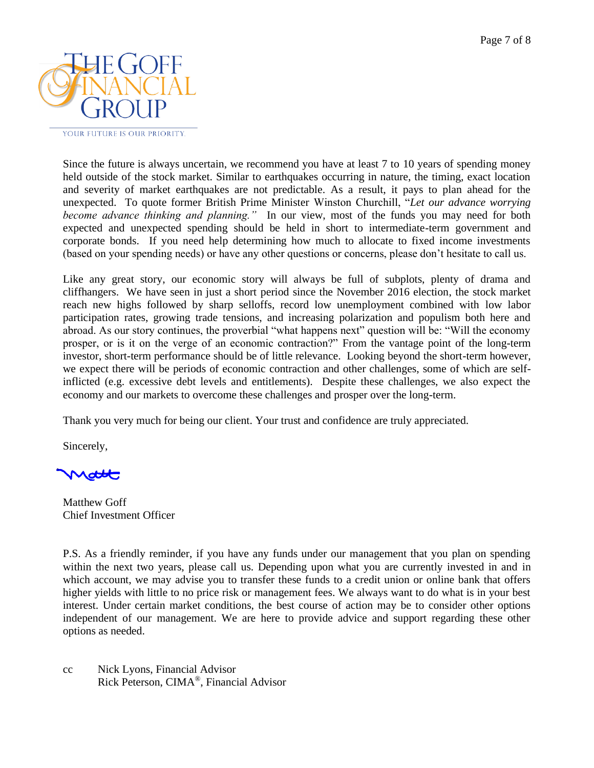

Since the future is always uncertain, we recommend you have at least 7 to 10 years of spending money held outside of the stock market. Similar to earthquakes occurring in nature, the timing, exact location and severity of market earthquakes are not predictable. As a result, it pays to plan ahead for the unexpected. To quote former British Prime Minister Winston Churchill, "*Let our advance worrying become advance thinking and planning."* In our view, most of the funds you may need for both expected and unexpected spending should be held in short to intermediate-term government and corporate bonds. If you need help determining how much to allocate to fixed income investments (based on your spending needs) or have any other questions or concerns, please don't hesitate to call us.

Like any great story, our economic story will always be full of subplots, plenty of drama and cliffhangers. We have seen in just a short period since the November 2016 election, the stock market reach new highs followed by sharp selloffs, record low unemployment combined with low labor participation rates, growing trade tensions, and increasing polarization and populism both here and abroad. As our story continues, the proverbial "what happens next" question will be: "Will the economy prosper, or is it on the verge of an economic contraction?" From the vantage point of the long-term investor, short-term performance should be of little relevance. Looking beyond the short-term however, we expect there will be periods of economic contraction and other challenges, some of which are selfinflicted (e.g. excessive debt levels and entitlements). Despite these challenges, we also expect the economy and our markets to overcome these challenges and prosper over the long-term.

Thank you very much for being our client. Your trust and confidence are truly appreciated.

Sincerely,

Matthew Goff Chief Investment Officer

P.S. As a friendly reminder, if you have any funds under our management that you plan on spending within the next two years, please call us. Depending upon what you are currently invested in and in which account, we may advise you to transfer these funds to a credit union or online bank that offers higher yields with little to no price risk or management fees. We always want to do what is in your best interest. Under certain market conditions, the best course of action may be to consider other options independent of our management. We are here to provide advice and support regarding these other options as needed.

cc Nick Lyons, Financial Advisor Rick Peterson, CIMA® , Financial Advisor